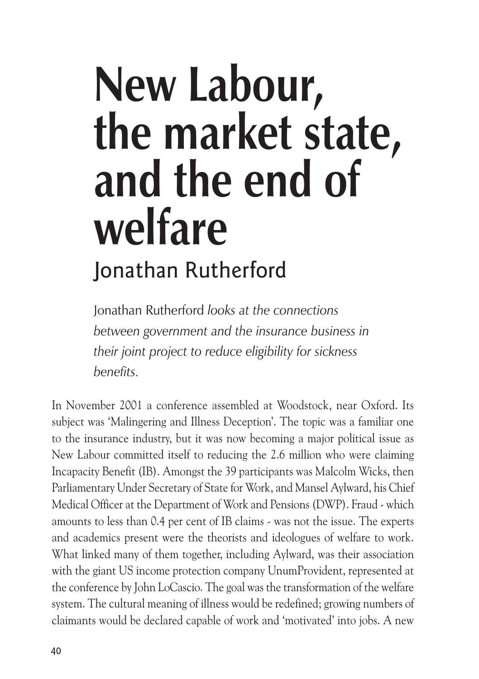# **New Labour, the market state, and the end of welfare** Jonathan Rutherford

Jonathan Rutherford *looks at the connections between government and the insurance business in their joint project to reduce eligibility for sickness benefits.*

In November 2001 a conference assembled at Woodstock, near Oxford. Its subject was 'Malingering and Illness Deception'. The topic was a familiar one to the insurance industry, but it was now becoming a major political issue as New Labour committed itself to reducing the 2.6 million who were claiming Incapacity Benefit (IB). Amongst the 39 participants was Malcolm Wicks, then Parliamentary Under Secretary of State for Work, and Mansel Aylward, his Chief Medical Officer at the Department of Work and Pensions (DWP). Fraud - which amounts to less than 0.4 per cent of IB claims - was not the issue. The experts and academics present were the theorists and ideologues of welfare to work. What linked many of them together, including Aylward, was their association with the giant US income protection company UnumProvident, represented at the conference by John LoCascio. The goal was the transformation of the welfare system. The cultural meaning of illness would be redefined; growing numbers of claimants would be declared capable of work and 'motivated' into jobs. A new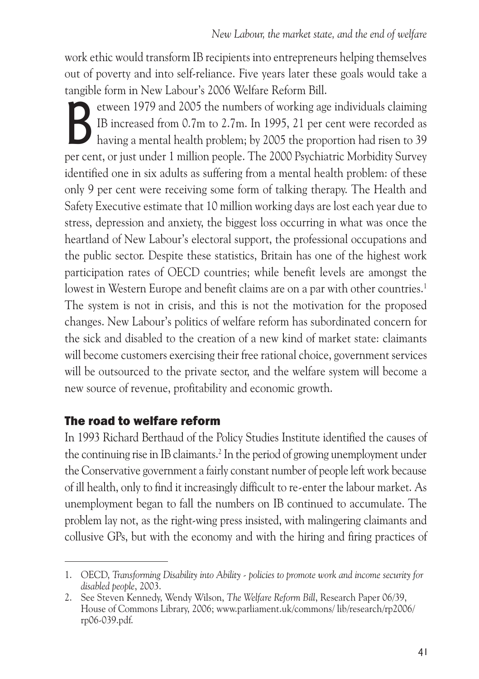work ethic would transform IB recipients into entrepreneurs helping themselves out of poverty and into self-reliance. Five years later these goals would take a tangible form in New Labour's 2006 Welfare Reform Bill.

EU etween 1979 and 2005 the numbers of working age individuals claiming<br>IB increased from 0.7m to 2.7m. In 1995, 21 per cent were recorded as<br>having a mental health problem; by 2005 the proportion had risen to 39<br>per cent IB increased from 0.7m to 2.7m. In 1995, 21 per cent were recorded as having a mental health problem; by 2005 the proportion had risen to 39 per cent, or just under 1 million people. The 2000 Psychiatric Morbidity Survey identified one in six adults as suffering from a mental health problem: of these only 9 per cent were receiving some form of talking therapy. The Health and Safety Executive estimate that 10 million working days are lost each year due to stress, depression and anxiety, the biggest loss occurring in what was once the heartland of New Labour's electoral support, the professional occupations and the public sector. Despite these statistics, Britain has one of the highest work participation rates of OECD countries; while benefit levels are amongst the lowest in Western Europe and benefit claims are on a par with other countries.<sup>1</sup> The system is not in crisis, and this is not the motivation for the proposed changes. New Labour's politics of welfare reform has subordinated concern for the sick and disabled to the creation of a new kind of market state: claimants will become customers exercising their free rational choice, government services will be outsourced to the private sector, and the welfare system will become a new source of revenue, profitability and economic growth.

## The road to welfare reform

In 1993 Richard Berthaud of the Policy Studies Institute identified the causes of the continuing rise in IB claimants.<sup>2</sup> In the period of growing unemployment under the Conservative government a fairly constant number of people left work because of ill health, only to find it increasingly difficult to re-enter the labour market. As unemployment began to fall the numbers on IB continued to accumulate. The problem lay not, as the right-wing press insisted, with malingering claimants and collusive GPs, but with the economy and with the hiring and firing practices of

<sup>1.</sup> OECD, *Transforming Disability into Ability - policies to promote work and income security for disabled people*, 2003.

<sup>2.</sup> See Steven Kennedy, Wendy Wilson, *The Welfare Reform Bill*, Research Paper 06/39, House of Commons Library, 2006; www.parliament.uk/commons/ lib/research/rp2006/ rp06-039.pdf.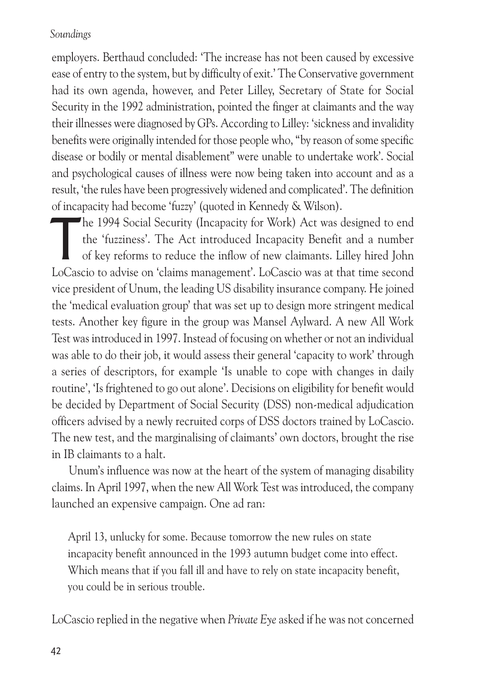employers. Berthaud concluded: 'The increase has not been caused by excessive ease of entry to the system, but by difficulty of exit.' The Conservative government had its own agenda, however, and Peter Lilley, Secretary of State for Social Security in the 1992 administration, pointed the finger at claimants and the way their illnesses were diagnosed by GPs. According to Lilley: 'sickness and invalidity benefits were originally intended for those people who, "by reason of some specific disease or bodily or mental disablement" were unable to undertake work'. Social and psychological causes of illness were now being taken into account and as a result, 'the rules have been progressively widened and complicated'. The definition of incapacity had become 'fuzzy' (quoted in Kennedy & Wilson).

The 1994 Social Security (Incapacity for Work) Act was designed to end<br>the 'fuzziness'. The Act introduced Incapacity Benefit and a number<br>of key reforms to reduce the inflow of new claimants. Lilley hired John<br>LeCescio to the 'fuzziness'. The Act introduced Incapacity Benefit and a number of key reforms to reduce the inflow of new claimants. Lilley hired John LoCascio to advise on 'claims management'. LoCascio was at that time second vice president of Unum, the leading US disability insurance company. He joined the 'medical evaluation group' that was set up to design more stringent medical tests. Another key figure in the group was Mansel Aylward. A new All Work Test was introduced in 1997. Instead of focusing on whether or not an individual was able to do their job, it would assess their general 'capacity to work' through a series of descriptors, for example 'Is unable to cope with changes in daily routine', 'Is frightened to go out alone'. Decisions on eligibility for benefit would be decided by Department of Social Security (DSS) non-medical adjudication officers advised by a newly recruited corps of DSS doctors trained by LoCascio. The new test, and the marginalising of claimants' own doctors, brought the rise in IB claimants to a halt.

Unum's influence was now at the heart of the system of managing disability claims. In April 1997, when the new All Work Test was introduced, the company launched an expensive campaign. One ad ran:

April 13, unlucky for some. Because tomorrow the new rules on state incapacity benefit announced in the 1993 autumn budget come into effect. Which means that if you fall ill and have to rely on state incapacity benefit, you could be in serious trouble.

LoCascio replied in the negative when *Private Eye* asked if he was not concerned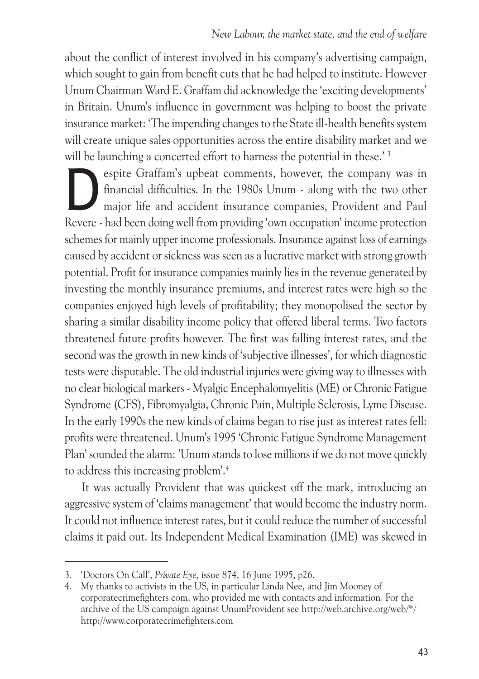about the conflict of interest involved in his company's advertising campaign, which sought to gain from benefit cuts that he had helped to institute. However Unum Chairman Ward E. Graffam did acknowledge the 'exciting developments' in Britain. Unum's influence in government was helping to boost the private insurance market: 'The impending changes to the State ill-health benefits system will create unique sales opportunities across the entire disability market and we will be launching a concerted effort to harness the potential in these.'<sup>3</sup>

Equation Star Graffam's upbeat comments, however, the company was in financial difficulties. In the 1980s Unum - along with the two other major life and accident insurance companies, Provident and Paul Revers, had been doi financial difficulties. In the 1980s Unum - along with the two other major life and accident insurance companies, Provident and Paul Revere - had been doing well from providing 'own occupation' income protection schemes for mainly upper income professionals. Insurance against loss of earnings caused by accident or sickness was seen as a lucrative market with strong growth potential. Profit for insurance companies mainly lies in the revenue generated by investing the monthly insurance premiums, and interest rates were high so the companies enjoyed high levels of profitability; they monopolised the sector by sharing a similar disability income policy that offered liberal terms. Two factors threatened future profits however. The first was falling interest rates, and the second was the growth in new kinds of 'subjective illnesses', for which diagnostic tests were disputable. The old industrial injuries were giving way to illnesses with no clear biological markers - Myalgic Encephalomyelitis (ME) or Chronic Fatigue Syndrome (CFS), Fibromyalgia, Chronic Pain, Multiple Sclerosis, Lyme Disease. In the early 1990s the new kinds of claims began to rise just as interest rates fell: profits were threatened. Unum's 1995 'Chronic Fatigue Syndrome Management Plan' sounded the alarm: 'Unum stands to lose millions if we do not move quickly to address this increasing problem'.4

It was actually Provident that was quickest off the mark, introducing an aggressive system of 'claims management' that would become the industry norm. It could not influence interest rates, but it could reduce the number of successful claims it paid out. Its Independent Medical Examination (IME) was skewed in

<sup>3. &#</sup>x27;Doctors On Call', *Private Eye*, issue 874, 16 June 1995, p26.

<sup>4.</sup> My thanks to activists in the US, in particular Linda Nee, and Jim Mooney of corporatecrimefighters.com, who provided me with contacts and information. For the archive of the US campaign against UnumProvident see http://web.archive.org/web/\*/ http://www.corporatecrimefighters.com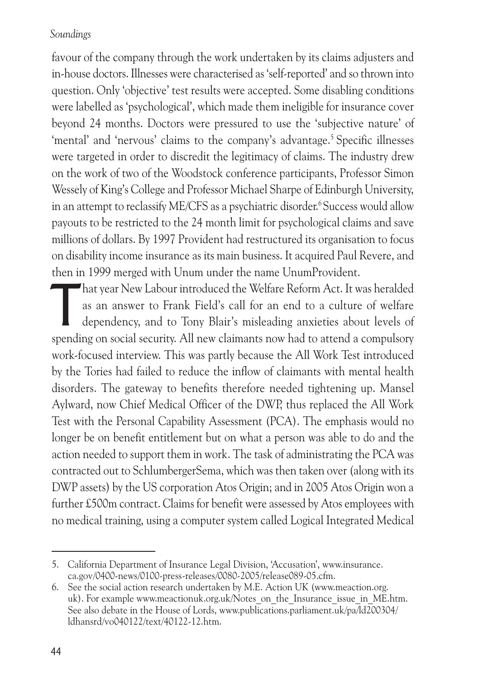favour of the company through the work undertaken by its claims adjusters and in-house doctors. Illnesses were characterised as 'self-reported' and so thrown into question. Only 'objective' test results were accepted. Some disabling conditions were labelled as 'psychological', which made them ineligible for insurance cover beyond 24 months. Doctors were pressured to use the 'subjective nature' of 'mental' and 'nervous' claims to the company's advantage.<sup>5</sup> Specific illnesses were targeted in order to discredit the legitimacy of claims. The industry drew on the work of two of the Woodstock conference participants, Professor Simon Wessely of King's College and Professor Michael Sharpe of Edinburgh University, in an attempt to reclassify ME/CFS as a psychiatric disorder.<sup>6</sup> Success would allow payouts to be restricted to the 24 month limit for psychological claims and save millions of dollars. By 1997 Provident had restructured its organisation to focus on disability income insurance as its main business. It acquired Paul Revere, and then in 1999 merged with Unum under the name UnumProvident.

That year New Labour introduced the Welfare Reform Act. It was heralded<br>as an answer to Frank Field's call for an end to a culture of welfare<br>dependency, and to Tony Blair's misleading anxieties about levels of<br>spending on as an answer to Frank Field's call for an end to a culture of welfare dependency, and to Tony Blair's misleading anxieties about levels of spending on social security. All new claimants now had to attend a compulsory work-focused interview. This was partly because the All Work Test introduced by the Tories had failed to reduce the inflow of claimants with mental health disorders. The gateway to benefits therefore needed tightening up. Mansel Aylward, now Chief Medical Officer of the DWP, thus replaced the All Work Test with the Personal Capability Assessment (PCA). The emphasis would no longer be on benefit entitlement but on what a person was able to do and the action needed to support them in work. The task of administrating the PCA was contracted out to SchlumbergerSema, which was then taken over (along with its DWP assets) by the US corporation Atos Origin; and in 2005 Atos Origin won a further £500m contract. Claims for benefit were assessed by Atos employees with no medical training, using a computer system called Logical Integrated Medical

<sup>5.</sup> California Department of Insurance Legal Division, 'Accusation', www.insurance. ca.gov/0400-news/0100-press-releases/0080-2005/release089-05.cfm.

<sup>6.</sup> See the social action research undertaken by M.E. Action UK (www.meaction.org. uk). For example www.meactionuk.org.uk/Notes\_on\_the\_Insurance\_issue\_in\_ME.htm. See also debate in the House of Lords, www.publications.parliament.uk/pa/ld200304/ ldhansrd/vo040122/text/40122-12.htm.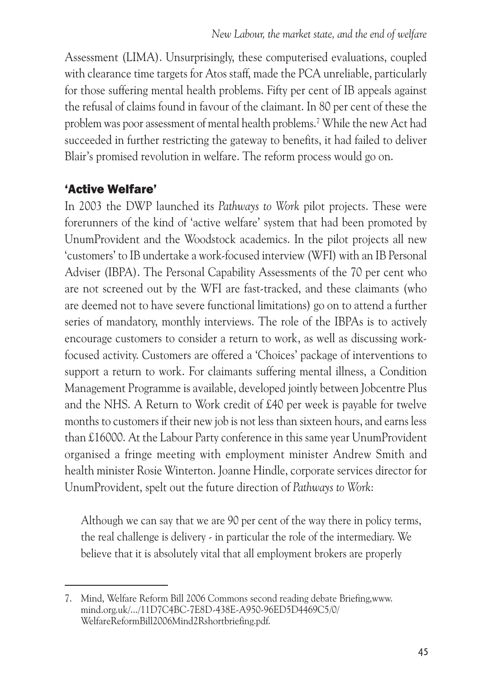Assessment (LIMA). Unsurprisingly, these computerised evaluations, coupled with clearance time targets for Atos staff, made the PCA unreliable, particularly for those suffering mental health problems. Fifty per cent of IB appeals against the refusal of claims found in favour of the claimant. In 80 per cent of these the problem was poor assessment of mental health problems.7 While the new Act had succeeded in further restricting the gateway to benefits, it had failed to deliver Blair's promised revolution in welfare. The reform process would go on.

## 'Active Welfare'

In 2003 the DWP launched its *Pathways to Work* pilot projects. These were forerunners of the kind of 'active welfare' system that had been promoted by UnumProvident and the Woodstock academics. In the pilot projects all new 'customers' to IB undertake a work-focused interview (WFI) with an IB Personal Adviser (IBPA). The Personal Capability Assessments of the 70 per cent who are not screened out by the WFI are fast-tracked, and these claimants (who are deemed not to have severe functional limitations) go on to attend a further series of mandatory, monthly interviews. The role of the IBPAs is to actively encourage customers to consider a return to work, as well as discussing workfocused activity. Customers are offered a 'Choices' package of interventions to support a return to work. For claimants suffering mental illness, a Condition Management Programme is available, developed jointly between Jobcentre Plus and the NHS. A Return to Work credit of £40 per week is payable for twelve months to customers if their new job is not less than sixteen hours, and earns less than £16000. At the Labour Party conference in this same year UnumProvident organised a fringe meeting with employment minister Andrew Smith and health minister Rosie Winterton. Joanne Hindle, corporate services director for UnumProvident, spelt out the future direction of *Pathways to Work*:

Although we can say that we are 90 per cent of the way there in policy terms, the real challenge is delivery - in particular the role of the intermediary. We believe that it is absolutely vital that all employment brokers are properly

<sup>7.</sup> Mind, Welfare Reform Bill 2006 Commons second reading debate Briefing,www. mind.org.uk/.../11D7C4BC-7E8D-438E-A950-96ED5D4469C5/0/ WelfareReformBill2006Mind2Rshortbriefing.pdf.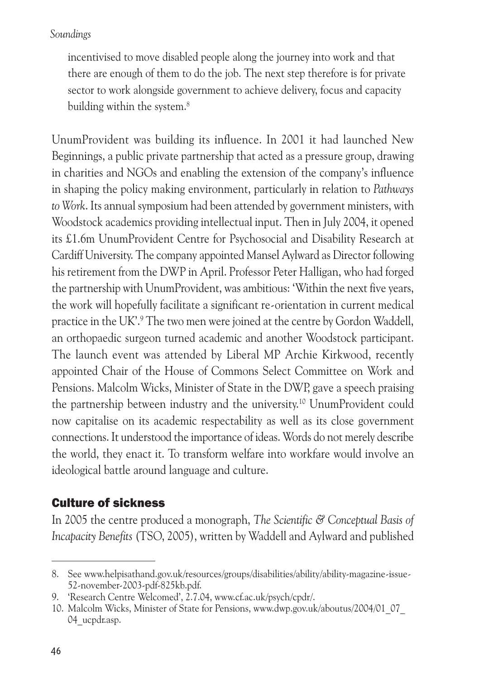incentivised to move disabled people along the journey into work and that there are enough of them to do the job. The next step therefore is for private sector to work alongside government to achieve delivery, focus and capacity building within the system.<sup>8</sup>

UnumProvident was building its influence. In 2001 it had launched New Beginnings, a public private partnership that acted as a pressure group, drawing in charities and NGOs and enabling the extension of the company's influence in shaping the policy making environment, particularly in relation to *Pathways to Work*. Its annual symposium had been attended by government ministers, with Woodstock academics providing intellectual input. Then in July 2004, it opened its £1.6m UnumProvident Centre for Psychosocial and Disability Research at Cardiff University. The company appointed Mansel Aylward as Director following his retirement from the DWP in April. Professor Peter Halligan, who had forged the partnership with UnumProvident, was ambitious: 'Within the next five years, the work will hopefully facilitate a significant re-orientation in current medical practice in the UK'.9 The two men were joined at the centre by Gordon Waddell, an orthopaedic surgeon turned academic and another Woodstock participant. The launch event was attended by Liberal MP Archie Kirkwood, recently appointed Chair of the House of Commons Select Committee on Work and Pensions. Malcolm Wicks, Minister of State in the DWP, gave a speech praising the partnership between industry and the university.10 UnumProvident could now capitalise on its academic respectability as well as its close government connections. It understood the importance of ideas. Words do not merely describe the world, they enact it. To transform welfare into workfare would involve an ideological battle around language and culture.

## Culture of sickness

In 2005 the centre produced a monograph, *The Scientific & Conceptual Basis of Incapacity Benefits* (TSO, 2005), written by Waddell and Aylward and published

<sup>8.</sup> See www.helpisathand.gov.uk/resources/groups/disabilities/ability/ability-magazine-issue-52-november-2003-pdf-825kb.pdf.

<sup>9. &#</sup>x27;Research Centre Welcomed', 2.7.04, www.cf.ac.uk/psych/cpdr/.

<sup>10.</sup> Malcolm Wicks, Minister of State for Pensions, www.dwp.gov.uk/aboutus/2004/01\_07\_ 04 ucpdr.asp.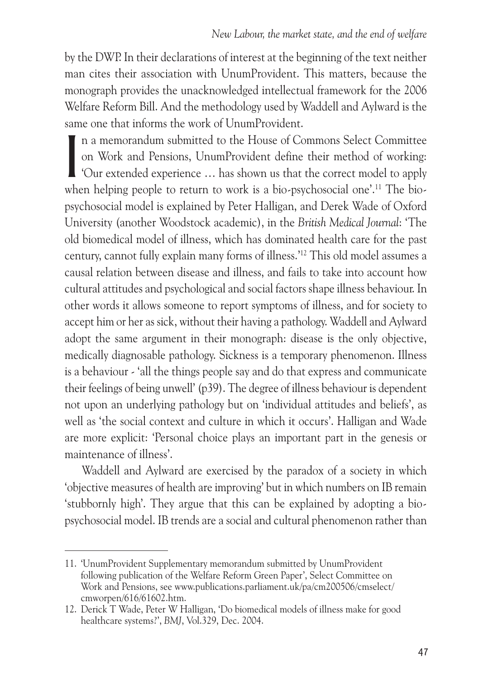by the DWP. In their declarations of interest at the beginning of the text neither man cites their association with UnumProvident. This matters, because the monograph provides the unacknowledged intellectual framework for the 2006 Welfare Reform Bill. And the methodology used by Waddell and Aylward is the same one that informs the work of UnumProvident.

In a memorandum submitted to the House of Commons Select Committee<br>on Work and Pensions, UnumProvident define their method of working:<br>'Our extended experience ... has shown us that the correct model to apply<br>when helping n a memorandum submitted to the House of Commons Select Committee on Work and Pensions, UnumProvident define their method of working: 'Our extended experience … has shown us that the correct model to apply psychosocial model is explained by Peter Halligan, and Derek Wade of Oxford University (another Woodstock academic), in the *British Medical Journal*: 'The old biomedical model of illness, which has dominated health care for the past century, cannot fully explain many forms of illness.'12 This old model assumes a causal relation between disease and illness, and fails to take into account how cultural attitudes and psychological and social factors shape illness behaviour. In other words it allows someone to report symptoms of illness, and for society to accept him or her as sick, without their having a pathology. Waddell and Aylward adopt the same argument in their monograph: disease is the only objective, medically diagnosable pathology. Sickness is a temporary phenomenon. Illness is a behaviour - 'all the things people say and do that express and communicate their feelings of being unwell' (p39). The degree of illness behaviour is dependent not upon an underlying pathology but on 'individual attitudes and beliefs', as well as 'the social context and culture in which it occurs'. Halligan and Wade are more explicit: 'Personal choice plays an important part in the genesis or maintenance of illness'.

Waddell and Aylward are exercised by the paradox of a society in which 'objective measures of health are improving' but in which numbers on IB remain 'stubbornly high'. They argue that this can be explained by adopting a biopsychosocial model. IB trends are a social and cultural phenomenon rather than

<sup>11. &#</sup>x27;UnumProvident Supplementary memorandum submitted by UnumProvident following publication of the Welfare Reform Green Paper', Select Committee on Work and Pensions, see www.publications.parliament.uk/pa/cm200506/cmselect/ cmworpen/616/61602.htm.

<sup>12.</sup> Derick T Wade, Peter W Halligan, 'Do biomedical models of illness make for good healthcare systems?', *BMJ*, Vol.329, Dec. 2004.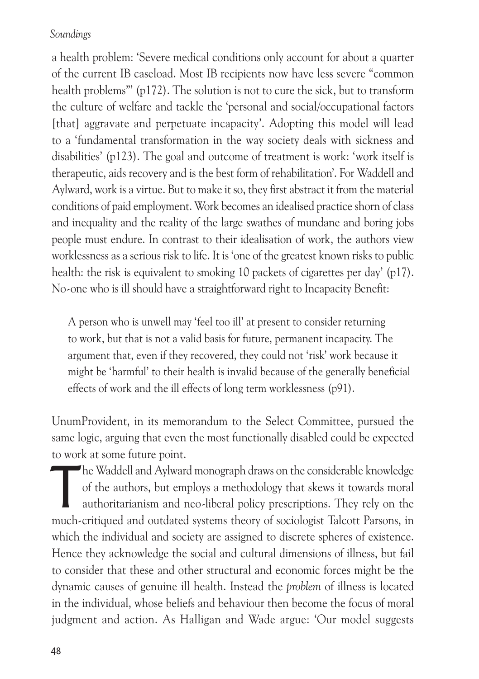a health problem: 'Severe medical conditions only account for about a quarter of the current IB caseload. Most IB recipients now have less severe "common health problems"' (p172). The solution is not to cure the sick, but to transform the culture of welfare and tackle the 'personal and social/occupational factors [that] aggravate and perpetuate incapacity'. Adopting this model will lead to a 'fundamental transformation in the way society deals with sickness and disabilities' (p123). The goal and outcome of treatment is work: 'work itself is therapeutic, aids recovery and is the best form of rehabilitation'. For Waddell and Aylward, work is a virtue. But to make it so, they first abstract it from the material conditions of paid employment. Work becomes an idealised practice shorn of class and inequality and the reality of the large swathes of mundane and boring jobs people must endure. In contrast to their idealisation of work, the authors view worklessness as a serious risk to life. It is 'one of the greatest known risks to public health: the risk is equivalent to smoking 10 packets of cigarettes per day' (p17). No-one who is ill should have a straightforward right to Incapacity Benefit:

A person who is unwell may 'feel too ill' at present to consider returning to work, but that is not a valid basis for future, permanent incapacity. The argument that, even if they recovered, they could not 'risk' work because it might be 'harmful' to their health is invalid because of the generally beneficial effects of work and the ill effects of long term worklessness (p91).

UnumProvident, in its memorandum to the Select Committee, pursued the same logic, arguing that even the most functionally disabled could be expected to work at some future point.

The Waddell and Aylward monograph draws on the considerable knowledge<br>of the authors, but employs a methodology that skews it towards moral<br>authoritarianism and neo-liberal policy prescriptions. They rely on the<br>much criti of the authors, but employs a methodology that skews it towards moral authoritarianism and neo-liberal policy prescriptions. They rely on the much-critiqued and outdated systems theory of sociologist Talcott Parsons, in which the individual and society are assigned to discrete spheres of existence. Hence they acknowledge the social and cultural dimensions of illness, but fail to consider that these and other structural and economic forces might be the dynamic causes of genuine ill health. Instead the *problem* of illness is located in the individual, whose beliefs and behaviour then become the focus of moral judgment and action. As Halligan and Wade argue: 'Our model suggests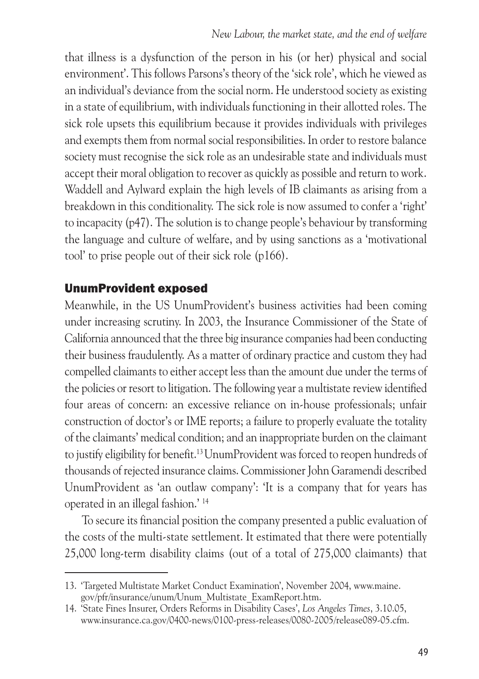that illness is a dysfunction of the person in his (or her) physical and social environment'. This follows Parsons's theory of the 'sick role', which he viewed as an individual's deviance from the social norm. He understood society as existing in a state of equilibrium, with individuals functioning in their allotted roles. The sick role upsets this equilibrium because it provides individuals with privileges and exempts them from normal social responsibilities. In order to restore balance society must recognise the sick role as an undesirable state and individuals must accept their moral obligation to recover as quickly as possible and return to work. Waddell and Aylward explain the high levels of IB claimants as arising from a breakdown in this conditionality. The sick role is now assumed to confer a 'right' to incapacity (p47). The solution is to change people's behaviour by transforming the language and culture of welfare, and by using sanctions as a 'motivational tool' to prise people out of their sick role (p166).

## UnumProvident exposed

Meanwhile, in the US UnumProvident's business activities had been coming under increasing scrutiny. In 2003, the Insurance Commissioner of the State of California announced that the three big insurance companies had been conducting their business fraudulently. As a matter of ordinary practice and custom they had compelled claimants to either accept less than the amount due under the terms of the policies or resort to litigation. The following year a multistate review identified four areas of concern: an excessive reliance on in-house professionals; unfair construction of doctor's or IME reports; a failure to properly evaluate the totality of the claimants' medical condition; and an inappropriate burden on the claimant to justify eligibility for benefit.13 UnumProvident was forced to reopen hundreds of thousands of rejected insurance claims. Commissioner John Garamendi described UnumProvident as 'an outlaw company': 'It is a company that for years has operated in an illegal fashion.' 14

To secure its financial position the company presented a public evaluation of the costs of the multi-state settlement. It estimated that there were potentially 25,000 long-term disability claims (out of a total of 275,000 claimants) that

<sup>13. &#</sup>x27;Targeted Multistate Market Conduct Examination', November 2004, www.maine. gov/pfr/insurance/unum/Unum\_Multistate\_ExamReport.htm.

<sup>14. &#</sup>x27;State Fines Insurer, Orders Reforms in Disability Cases', *Los Angeles Times*, 3.10.05, www.insurance.ca.gov/0400-news/0100-press-releases/0080-2005/release089-05.cfm.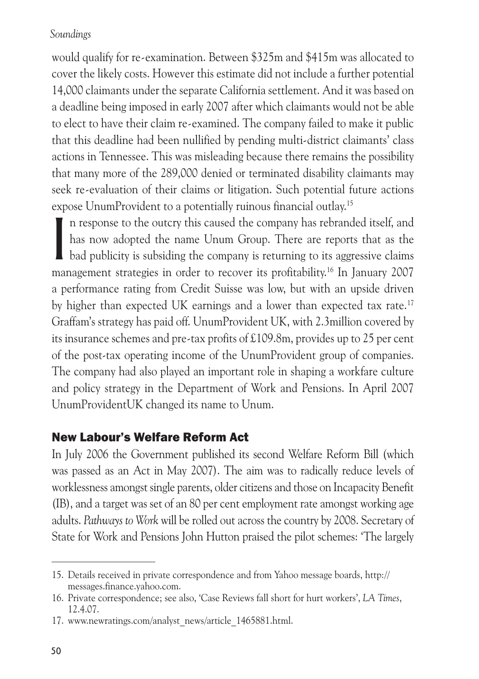would qualify for re-examination. Between \$325m and \$415m was allocated to cover the likely costs. However this estimate did not include a further potential 14,000 claimants under the separate California settlement. And it was based on a deadline being imposed in early 2007 after which claimants would not be able to elect to have their claim re-examined. The company failed to make it public that this deadline had been nullified by pending multi-district claimants' class actions in Tennessee. This was misleading because there remains the possibility that many more of the 289,000 denied or terminated disability claimants may seek re-evaluation of their claims or litigation. Such potential future actions expose UnumProvident to a potentially ruinous financial outlay.15

In response to the outcry this caused the company has rebranded itself, and has now adopted the name Unum Group. There are reports that as the bad publicity is subsiding the company is returning to its aggressive claims ma n response to the outcry this caused the company has rebranded itself, and has now adopted the name Unum Group. There are reports that as the bad publicity is subsiding the company is returning to its aggressive claims a performance rating from Credit Suisse was low, but with an upside driven by higher than expected UK earnings and a lower than expected tax rate.17 Graffam's strategy has paid off. UnumProvident UK, with 2.3million covered by its insurance schemes and pre-tax profits of £109.8m, provides up to 25 per cent of the post-tax operating income of the UnumProvident group of companies. The company had also played an important role in shaping a workfare culture and policy strategy in the Department of Work and Pensions. In April 2007 UnumProvidentUK changed its name to Unum.

## New Labour's Welfare Reform Act

In July 2006 the Government published its second Welfare Reform Bill (which was passed as an Act in May 2007). The aim was to radically reduce levels of worklessness amongst single parents, older citizens and those on Incapacity Benefit (IB), and a target was set of an 80 per cent employment rate amongst working age adults. *Pathways to Work* will be rolled out across the country by 2008. Secretary of State for Work and Pensions John Hutton praised the pilot schemes: 'The largely

<sup>15.</sup> Details received in private correspondence and from Yahoo message boards, http:// messages.finance.yahoo.com.

<sup>16.</sup> Private correspondence; see also, 'Case Reviews fall short for hurt workers', *LA Times*, 12.4.07.

<sup>17.</sup> www.newratings.com/analyst\_news/article\_1465881.html.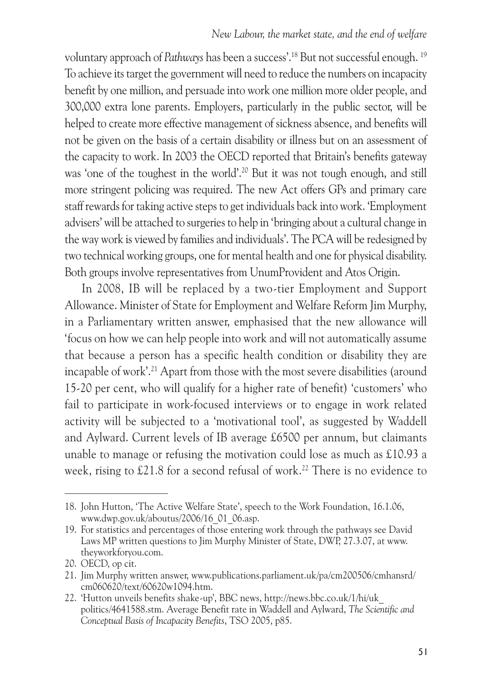voluntary approach of *Pathways* has been a success'.18 But not successful enough. 19 To achieve its target the government will need to reduce the numbers on incapacity benefit by one million, and persuade into work one million more older people, and 300,000 extra lone parents. Employers, particularly in the public sector, will be helped to create more effective management of sickness absence, and benefits will not be given on the basis of a certain disability or illness but on an assessment of the capacity to work. In 2003 the OECD reported that Britain's benefits gateway was 'one of the toughest in the world'.20 But it was not tough enough, and still more stringent policing was required. The new Act offers GPs and primary care staff rewards for taking active steps to get individuals back into work. 'Employment advisers' will be attached to surgeries to help in 'bringing about a cultural change in the way work is viewed by families and individuals'. The PCA will be redesigned by two technical working groups, one for mental health and one for physical disability. Both groups involve representatives from UnumProvident and Atos Origin.

In 2008, IB will be replaced by a two-tier Employment and Support Allowance. Minister of State for Employment and Welfare Reform Jim Murphy, in a Parliamentary written answer, emphasised that the new allowance will 'focus on how we can help people into work and will not automatically assume that because a person has a specific health condition or disability they are incapable of work'.21 Apart from those with the most severe disabilities (around 15-20 per cent, who will qualify for a higher rate of benefit) 'customers' who fail to participate in work-focused interviews or to engage in work related activity will be subjected to a 'motivational tool', as suggested by Waddell and Aylward. Current levels of IB average £6500 per annum, but claimants unable to manage or refusing the motivation could lose as much as £10.93 a week, rising to £21.8 for a second refusal of work.<sup>22</sup> There is no evidence to

<sup>18.</sup> John Hutton, 'The Active Welfare State', speech to the Work Foundation, 16.1.06, www.dwp.gov.uk/aboutus/2006/16\_01\_06.asp.

<sup>19.</sup> For statistics and percentages of those entering work through the pathways see David Laws MP written questions to Jim Murphy Minister of State, DWP, 27.3.07, at www. theyworkforyou.com.

<sup>20.</sup> OECD, op cit.

<sup>21.</sup> Jim Murphy written answer, www.publications.parliament.uk/pa/cm200506/cmhansrd/ cm060620/text/60620w1094.htm.

<sup>22. &#</sup>x27;Hutton unveils benefits shake-up', BBC news, http://news.bbc.co.uk/1/hi/uk\_ politics/4641588.stm. Average Benefit rate in Waddell and Aylward, *The Scientific and Conceptual Basis of Incapacity Benefits*, TSO 2005, p85.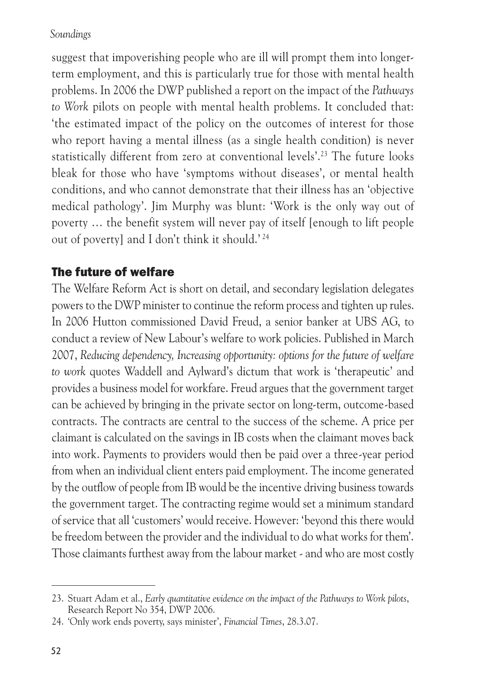suggest that impoverishing people who are ill will prompt them into longerterm employment, and this is particularly true for those with mental health problems. In 2006 the DWP published a report on the impact of the *Pathways to Work* pilots on people with mental health problems. It concluded that: 'the estimated impact of the policy on the outcomes of interest for those who report having a mental illness (as a single health condition) is never statistically different from zero at conventional levels'.23 The future looks bleak for those who have 'symptoms without diseases', or mental health conditions, and who cannot demonstrate that their illness has an 'objective medical pathology'. Jim Murphy was blunt: 'Work is the only way out of poverty … the benefit system will never pay of itself [enough to lift people out of poverty] and I don't think it should.' 24

# The future of welfare

The Welfare Reform Act is short on detail, and secondary legislation delegates powers to the DWP minister to continue the reform process and tighten up rules. In 2006 Hutton commissioned David Freud, a senior banker at UBS AG, to conduct a review of New Labour's welfare to work policies. Published in March 2007, *Reducing dependency, Increasing opportunity: options for the future of welfare to work* quotes Waddell and Aylward's dictum that work is 'therapeutic' and provides a business model for workfare. Freud argues that the government target can be achieved by bringing in the private sector on long-term, outcome-based contracts. The contracts are central to the success of the scheme. A price per claimant is calculated on the savings in IB costs when the claimant moves back into work. Payments to providers would then be paid over a three-year period from when an individual client enters paid employment. The income generated by the outflow of people from IB would be the incentive driving business towards the government target. The contracting regime would set a minimum standard of service that all 'customers' would receive. However: 'beyond this there would be freedom between the provider and the individual to do what works for them'. Those claimants furthest away from the labour market - and who are most costly

<sup>23.</sup> Stuart Adam et al., *Early quantitative evidence on the impact of the Pathways to Work pilots*, Research Report No 354, DWP 2006.

<sup>24. &#</sup>x27;Only work ends poverty, says minister', *Financial Times*, 28.3.07.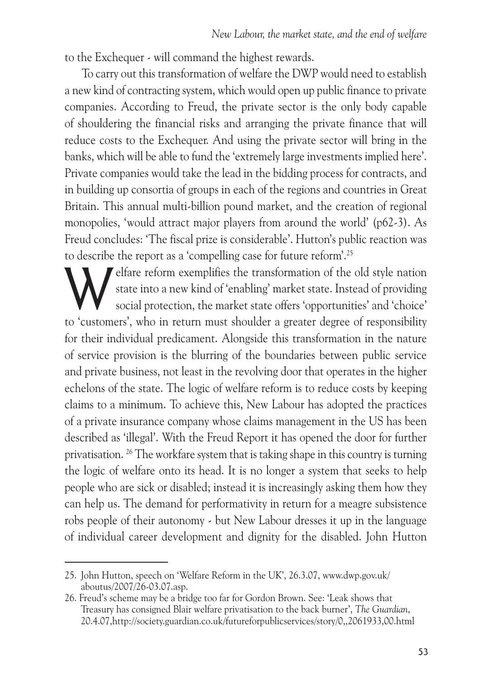to the Exchequer - will command the highest rewards.

To carry out this transformation of welfare the DWP would need to establish a new kind of contracting system, which would open up public finance to private companies. According to Freud, the private sector is the only body capable of shouldering the financial risks and arranging the private finance that will reduce costs to the Exchequer. And using the private sector will bring in the banks, which will be able to fund the 'extremely large investments implied here'. Private companies would take the lead in the bidding process for contracts, and in building up consortia of groups in each of the regions and countries in Great Britain. This annual multi-billion pound market, and the creation of regional monopolies, 'would attract major players from around the world' (p62-3). As Freud concludes: 'The fiscal prize is considerable'. Hutton's public reaction was to describe the report as a 'compelling case for future reform'.25

Elfare reform exemplifies the transformation of the old style nation<br>state into a new kind of 'enabling' market state. Instead of providing<br>social protection, the market state offers 'opportunities' and 'choice' state into a new kind of 'enabling' market state. Instead of providing social protection, the market state offers 'opportunities' and 'choice' to 'customers', who in return must shoulder a greater degree of responsibility for their individual predicament. Alongside this transformation in the nature of service provision is the blurring of the boundaries between public service and private business, not least in the revolving door that operates in the higher echelons of the state. The logic of welfare reform is to reduce costs by keeping claims to a minimum. To achieve this, New Labour has adopted the practices of a private insurance company whose claims management in the US has been described as 'illegal'. With the Freud Report it has opened the door for further privatisation. 26 The workfare system that is taking shape in this country is turning the logic of welfare onto its head. It is no longer a system that seeks to help people who are sick or disabled; instead it is increasingly asking them how they can help us. The demand for performativity in return for a meagre subsistence robs people of their autonomy - but New Labour dresses it up in the language of individual career development and dignity for the disabled. John Hutton

<sup>25.</sup> John Hutton, speech on 'Welfare Reform in the UK', 26.3.07, www.dwp.gov.uk/ aboutus/2007/26-03.07.asp.

<sup>26.</sup> Freud's scheme may be a bridge too far for Gordon Brown. See: 'Leak shows that Treasury has consigned Blair welfare privatisation to the back burner', *The Guardian*, 20.4.07,http://society.guardian.co.uk/futureforpublicservices/story/0,,2061933,00.html